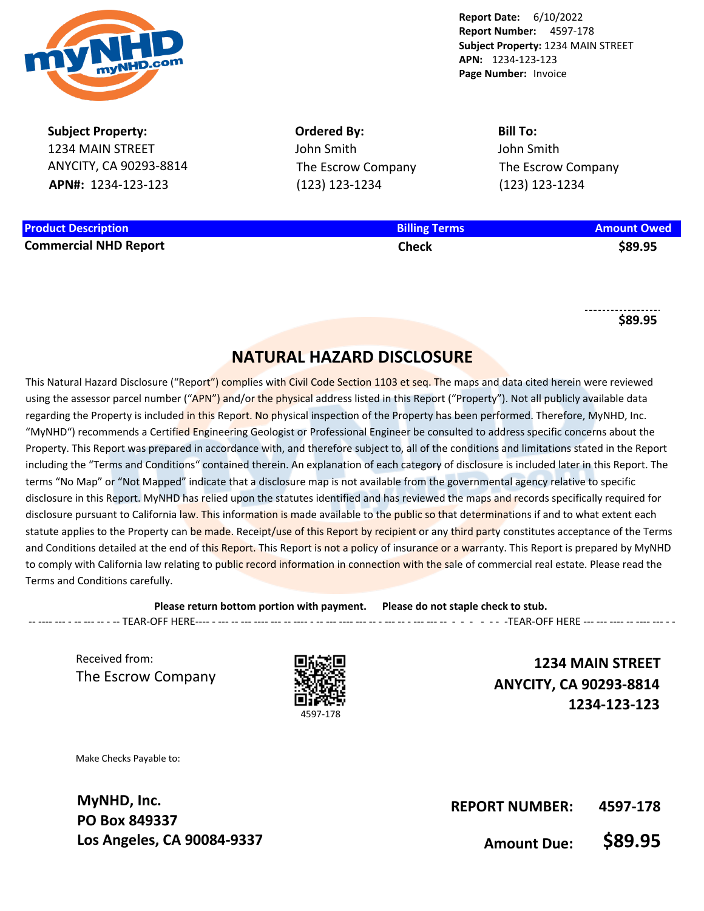

**Subject Property:** 1234 MAIN STREET ANYCITY, CA 90293-8814 **APN#:** 1234-123-123

**Product Description Billing Terms Amount Owed Commercial NHD Report Check \$89.95**

**Ordered By:** John Smith The Escrow Company (123) 123-1234

**Bill To:** John Smith The Escrow Company (123) 123-1234

**\$89.95**

# **NATURAL HAZARD DISCLOSURE**

This Natural Hazard Disclosure ("Report") complies with Civil Code Section 1103 et seg. The maps and data cited herein were reviewed using the assessor parcel number ("APN") and/or the physical address listed in this Report ("Property"). Not all publicly available data regarding the Property is included in this Report. No physical inspection of the Property has been performed. Therefore, MyNHD, Inc. "MyNHD") recommends a Certified Engineering Geologist or Professional Engineer be consulted to address specific concerns about the Property. This Report was prepared in accordance with, and therefore subject to, all of the conditions and limitations stated in the Report including the "Terms and Conditions" contained therein. An explanation of each category of disclosure is included later in this Report. The terms "No Map" or "Not Mapped" indicate that a disclosure map is not available from the governmental agency relative to specific disclosure in this Report. MyNHD has relied upon the statutes identified and has reviewed the maps and records specifically required for disclosure pursuant to California law. This information is made available to the public so that determinations if and to what extent each statute applies to the Property can be made. Receipt/use of this Report by recipient or any third party constitutes acceptance of the Terms and Conditions detailed at the end of this Report. This Report is not a policy of insurance or a warranty. This Report is prepared by MyNHD to comply with California law relating to public record information in connection with the sale of commercial real estate. Please read the Terms and Conditions carefully.

**Please return bottom portion with payment. Please do not staple check to stub.**  -- ---- --- - -- --- -- - -- TEAR-OFF HERE---- - --- -- --- ---- --- -- ---- - -- --- ---- --- -- - --- -- - --- --- -- - - - - - - -TEAR-OFF HERE --- --- ---- -- ---- --- - -

Received from: The Escrow Company



**1234 MAIN STREET ANYCITY, CA 90293-8814 1234-123-123**

Make Checks Payable to:

**MyNHD, Inc. PO Box 849337 Los Angeles, CA 90084-9337**

**REPORT NUMBER: 4597-178**

**Amount Due: \$89.95**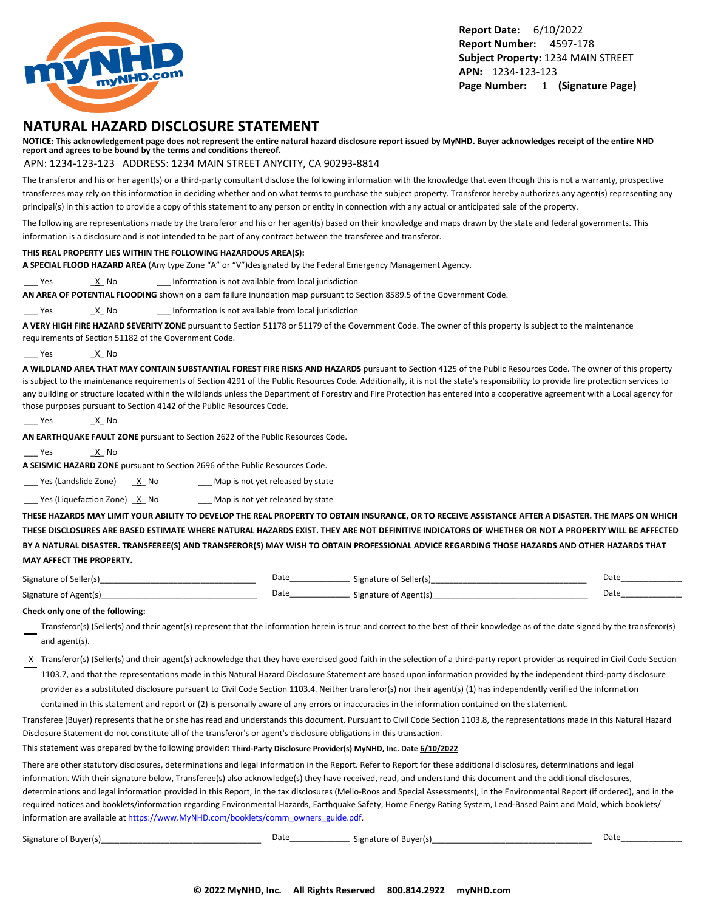

## **NATURAL HAZARD DISCLOSURE STATEMENT**

**NOTICE: This acknowledgement page does not represent the entire natural hazard disclosure report issued by MyNHD. Buyer acknowledges receipt of the entire NHD report and agrees to be bound by the terms and conditions thereof.**

APN: 1234-123-123 ADDRESS: 1234 MAIN STREET ANYCITY, CA 90293-8814

The transferor and his or her agent(s) or a third-party consultant disclose the following information with the knowledge that even though this is not a warranty, prospective transferees may rely on this information in deciding whether and on what terms to purchase the subject property. Transferor hereby authorizes any agent(s) representing any principal(s) in this action to provide a copy of this statement to any person or entity in connection with any actual or anticipated sale of the property.

The following are representations made by the transferor and his or her agent(s) based on their knowledge and maps drawn by the state and federal governments. This information is a disclosure and is not intended to be part of any contract between the transferee and transferor.

#### **THIS REAL PROPERTY LIES WITHIN THE FOLLOWING HAZARDOUS AREA(S):**

**A SPECIAL FLOOD HAZARD AREA** (Any type Zone "A" or "V")designated by the Federal Emergency Management Agency.

Yes X No 2011 Information is not available from local jurisdiction

**AN AREA OF POTENTIAL FLOODING** shown on a dam failure inundation map pursuant to Section 8589.5 of the Government Code.

Yes X No 2011 Information is not available from local jurisdiction

**A VERY HIGH FIRE HAZARD SEVERITY ZONE** pursuant to Section 51178 or 51179 of the Government Code. The owner of this property is subject to the maintenance requirements of Section 51182 of the Government Code.

Yes X No.

**A WILDLAND AREA THAT MAY CONTAIN SUBSTANTIAL FOREST FIRE RISKS AND HAZARDS** pursuant to Section 4125 of the Public Resources Code. The owner of this property is subject to the maintenance requirements of Section 4291 of the Public Resources Code. Additionally, it is not the state's responsibility to provide fire protection services to any building or structure located within the wildlands unless the Department of Forestry and Fire Protection has entered into a cooperative agreement with a Local agency for those purposes pursuant to Section 4142 of the Public Resources Code.

\_\_\_ Yes \_X\_ No

**AN EARTHQUAKE FAULT ZONE** pursuant to Section 2622 of the Public Resources Code.

Yes X No

**A SEISMIC HAZARD ZONE** pursuant to Section 2696 of the Public Resources Code.

 $\frac{1}{2}$  Yes (Landslide Zone)  $\frac{X}{X}$  No  $\frac{1}{2}$  Map is not yet released by state

 $\frac{1}{2}$  Yes (Liquefaction Zone)  $\frac{X}{X}$  No  $\frac{1}{2}$  Map is not yet released by state

**THESE HAZARDS MAY LIMIT YOUR ABILITY TO DEVELOP THE REAL PROPERTY TO OBTAIN INSURANCE, OR TO RECEIVE ASSISTANCE AFTER A DISASTER. THE MAPS ON WHICH THESE DISCLOSURES ARE BASED ESTIMATE WHERE NATURAL HAZARDS EXIST. THEY ARE NOT DEFINITIVE INDICATORS OF WHETHER OR NOT A PROPERTY WILL BE AFFECTED BY A NATURAL DISASTER. TRANSFEREE(S) AND TRANSFEROR(S) MAY WISH TO OBTAIN PROFESSIONAL ADVICE REGARDING THOSE HAZARDS AND OTHER HAZARDS THAT MAY AFFECT THE PROPERTY.**

| Signature of<br>f Seller(s | Date | Signature of Seller(s) | Date |
|----------------------------|------|------------------------|------|
| Signature of<br>† Agent(s) | Date | Signature of Agent(s)  | Date |

#### **Check only one of the following:**

- Transferor(s) (Seller(s) and their agent(s) represent that the information herein is true and correct to the best of their knowledge as of the date signed by the transferor(s) and agent(s).
- X Transferor(s) (Seller(s) and their agent(s) acknowledge that they have exercised good faith in the selection of a third-party report provider as required in Civil Code Section 1103.7, and that the representations made in this Natural Hazard Disclosure Statement are based upon information provided by the independent third-party disclosure provider as a substituted disclosure pursuant to Civil Code Section 1103.4. Neither transferor(s) nor their agent(s) (1) has independently verified the information

contained in this statement and report or (2) is personally aware of any errors or inaccuracies in the information contained on the statement.

Transferee (Buyer) represents that he or she has read and understands this document. Pursuant to Civil Code Section 1103.8, the representations made in this Natural Hazard Disclosure Statement do not constitute all of the transferor's or agent's disclosure obligations in this transaction.

This statement was prepared by the following provider: **Third-Party Disclosure Provider(s) MyNHD, Inc. Date 6/10/2022**

There are other statutory disclosures, determinations and legal information in the Report. Refer to Report for these additional disclosures, determinations and legal information. With their signature below, Transferee(s) also acknowledge(s) they have received, read, and understand this document and the additional disclosures, determinations and legal information provided in this Report, in the tax disclosures (Mello-Roos and Special Assessments), in the Environmental Report (if ordered), and in the required notices and booklets/information regarding Environmental Hazards, Earthquake Safety, Home Energy Rating System, Lead-Based Paint and Mold, which booklets/ information are available at [https://www.MyNHD.com/booklets/comm\\_owners\\_guide.pdf](https://www.MyNHD.com/booklets/comm_owners_guide.pdf).

| ignature of Buyer(s) |  |
|----------------------|--|
|----------------------|--|

Signature of Buyer(s)\_\_\_\_\_\_\_\_\_\_\_\_\_\_\_\_\_\_\_\_\_\_\_\_\_\_\_\_\_\_\_\_\_\_\_ Date\_\_\_\_\_\_\_\_\_\_\_\_\_\_\_\_\_\_\_\_\_\_\_\_ Signature of Buyer(s)\_\_\_\_\_\_\_\_\_\_\_\_\_\_\_\_\_\_\_\_\_\_\_\_\_\_\_\_\_\_\_\_\_\_\_ Date\_\_\_\_\_\_\_\_\_\_\_\_\_\_\_\_\_\_\_\_\_\_\_\_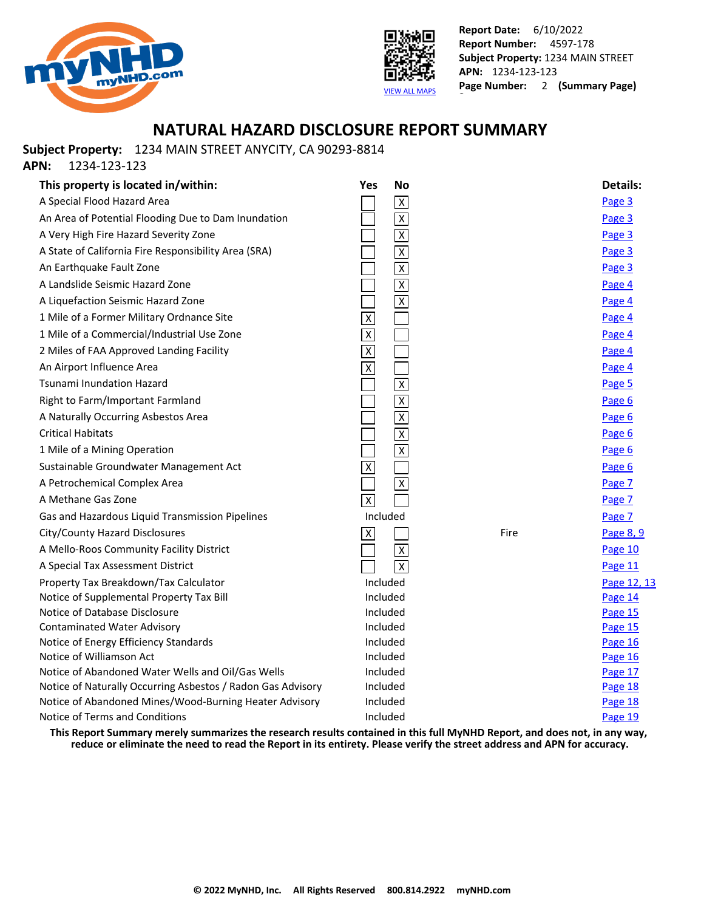



## **NATURAL HAZARD DISCLOSURE REPORT SUMMARY**

**Subject Property:** 1234 MAIN STREET ANYCITY, CA 90293-8814

**APN:** 1234-123-123

| This property is located in/within:                         | <b>No</b><br>Yes        |      | <b>Details:</b> |
|-------------------------------------------------------------|-------------------------|------|-----------------|
| A Special Flood Hazard Area                                 | $\overline{\mathsf{x}}$ |      | Page 3          |
| An Area of Potential Flooding Due to Dam Inundation         | $\overline{X}$          |      | Page 3          |
| A Very High Fire Hazard Severity Zone                       | $\overline{\mathsf{x}}$ |      | Page 3          |
| A State of California Fire Responsibility Area (SRA)        | $\overline{\mathsf{X}}$ |      | Page 3          |
| An Earthquake Fault Zone                                    | $\overline{\mathsf{x}}$ |      | Page 3          |
| A Landslide Seismic Hazard Zone                             | $\pmb{\chi}$            |      | Page 4          |
| A Liquefaction Seismic Hazard Zone                          | $\overline{X}$          |      | Page 4          |
| 1 Mile of a Former Military Ordnance Site                   | $\overline{\mathsf{x}}$ |      | Page 4          |
| 1 Mile of a Commercial/Industrial Use Zone                  | $\overline{\mathsf{X}}$ |      | Page 4          |
| 2 Miles of FAA Approved Landing Facility                    | $\overline{\mathsf{x}}$ |      | Page 4          |
| An Airport Influence Area                                   | $\pmb{\chi}$            |      | Page 4          |
| <b>Tsunami Inundation Hazard</b>                            | $\overline{\mathsf{x}}$ |      | Page 5          |
| Right to Farm/Important Farmland                            | $\overline{\mathsf{x}}$ |      | Page 6          |
| A Naturally Occurring Asbestos Area                         | $\overline{\mathsf{X}}$ |      | Page 6          |
| <b>Critical Habitats</b>                                    | $\overline{\mathsf{x}}$ |      | Page 6          |
| 1 Mile of a Mining Operation                                | $\overline{\mathbf{x}}$ |      | Page 6          |
| Sustainable Groundwater Management Act                      | $\overline{x}$          |      | Page 6          |
| A Petrochemical Complex Area                                | $\overline{\mathsf{x}}$ |      | Page 7          |
| A Methane Gas Zone                                          | $\mathsf X$             |      | Page 7          |
| Gas and Hazardous Liquid Transmission Pipelines             | Included                |      | Page 7          |
| City/County Hazard Disclosures                              | $\overline{X}$          | Fire | Page 8, 9       |
| A Mello-Roos Community Facility District                    | $\overline{X}$          |      | Page 10         |
| A Special Tax Assessment District                           | $\overline{\mathsf{x}}$ |      | Page 11         |
| Property Tax Breakdown/Tax Calculator                       | Included                |      | Page 12, 13     |
| Notice of Supplemental Property Tax Bill                    | Included                |      | Page 14         |
| Notice of Database Disclosure                               | Included                |      | Page 15         |
| <b>Contaminated Water Advisory</b>                          | Included                |      | Page 15         |
| Notice of Energy Efficiency Standards                       | Included                |      | Page 16         |
| Notice of Williamson Act                                    | Included                |      | Page 16         |
| Notice of Abandoned Water Wells and Oil/Gas Wells           | Included                |      | Page 17         |
| Notice of Naturally Occurring Asbestos / Radon Gas Advisory | Included                |      | Page 18         |
| Notice of Abandoned Mines/Wood-Burning Heater Advisory      | Included                |      | Page 18         |
| Notice of Terms and Conditions                              | Included                |      | Page 19         |

**This Report Summary merely summarizes the research results contained in this full MyNHD Report, and does not, in any way, reduce or eliminate the need to read the Report in its entirety. Please verify the street address and APN for accuracy.**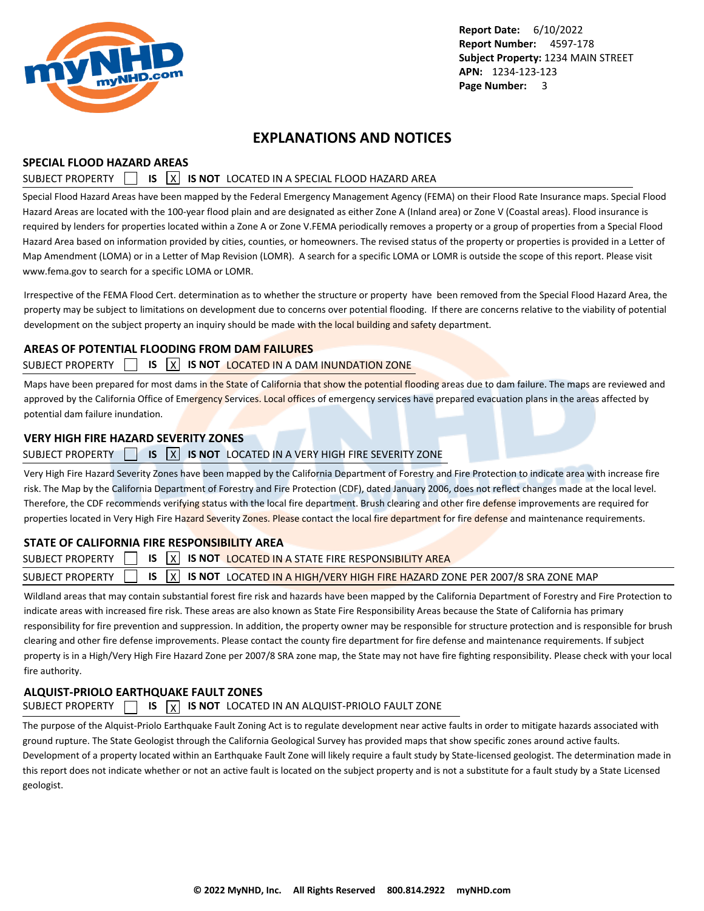<span id="page-3-0"></span>

## **EXPLANATIONS AND NOTICES**

### **SPECIAL FLOOD HAZARD AREAS**

### SUBJECT PROPERTY **15 X IS NOT** LOCATED IN A SPECIAL FLOOD HAZARD AREA

Special Flood Hazard Areas have been mapped by the Federal Emergency Management Agency (FEMA) on their Flood Rate Insurance maps. Special Flood Hazard Areas are located with the 100-year flood plain and are designated as either Zone A (Inland area) or Zone V (Coastal areas). Flood insurance is required by lenders for properties located within a Zone A or Zone V.FEMA periodically removes a property or a group of properties from a Special Flood Hazard Area based on information provided by cities, counties, or homeowners. The revised status of the property or properties is provided in a Letter of Map Amendment (LOMA) or in a Letter of Map Revision (LOMR). A search for a specific LOMA or LOMR is outside the scope of this report. Please visit www.fema.gov to search for a specific LOMA or LOMR.

Irrespective of the FEMA Flood Cert. determination as to whether the structure or property have been removed from the Special Flood Hazard Area, the property may be subject to limitations on development due to concerns over potential flooding. If there are concerns relative to the viability of potential development on the subject property an inquiry should be made with the local building and safety department.

### **AREAS OF POTENTIAL FLOODING FROM DAM FAILURES**

### SUBJECT PROPERTY **IS X IS NOT LOCATED IN A DAM INUNDATION ZONE**

Maps have been prepared for most dams in the State of California that show the potential flooding areas due to dam failure. The maps are reviewed and approved by the California Office of Emergency Services. Local offices of emergency services have prepared evacuation plans in the areas affected by potential dam failure inundation.

### **VERY HIGH FIRE HAZARD SEVERITY ZONES**

### SUBJECT PROPERTY **15 IS X IS NOT** LOCATED IN A VERY HIGH FIRE SEVERITY ZONE

Very High Fire Hazard Severity Zones have been mapped by the California Department of Forestry and Fire Protection to indicate area with increase fire risk. The Map by the California Department of Forestry and Fire Protection (CDF), dated January 2006, does not reflect changes made at the local level. Therefore, the CDF recommends verifying status with the local fire department. Brush clearing and other fire defense improvements are required for properties located in Very High Fire Hazard Severity Zones. Please contact the local fire department for fire defense and maintenance requirements.

### **STATE OF CALIFORNIA FIRE RESPONSIBILITY AREA**

|  | SUBJECT PROPERTY $\Box$ IS $\overline{X}$ IS not located in a state fire responsibility area                       |  |
|--|--------------------------------------------------------------------------------------------------------------------|--|
|  | SUBJECT PROPERTY $\Box$ IS $\boxed{X}$ IS NOT LOCATED IN A HIGH/VERY HIGH FIRE HAZARD ZONE PER 2007/8 SRA ZONE MAP |  |
|  |                                                                                                                    |  |

Wildland areas that may contain substantial forest fire risk and hazards have been mapped by the California Department of Forestry and Fire Protection to indicate areas with increased fire risk. These areas are also known as State Fire Responsibility Areas because the State of California has primary responsibility for fire prevention and suppression. In addition, the property owner may be responsible for structure protection and is responsible for brush clearing and other fire defense improvements. Please contact the county fire department for fire defense and maintenance requirements. If subject property is in a High/Very High Fire Hazard Zone per 2007/8 SRA zone map, the State may not have fire fighting responsibility. Please check with your local fire authority.

## **ALQUIST-PRIOLO EARTHQUAKE FAULT ZONES**

## SUBJECT PROPERTY  $\Box$  **IS**  $\vert x \vert$  **IS NOT** LOCATED IN AN ALQUIST-PRIOLO FAULT ZONE

The purpose of the Alquist-Priolo Earthquake Fault Zoning Act is to regulate development near active faults in order to mitigate hazards associated with ground rupture. The State Geologist through the California Geological Survey has provided maps that show specific zones around active faults. Development of a property located within an Earthquake Fault Zone will likely require a fault study by State-licensed geologist. The determination made in this report does not indicate whether or not an active fault is located on the subject property and is not a substitute for a fault study by a State Licensed geologist.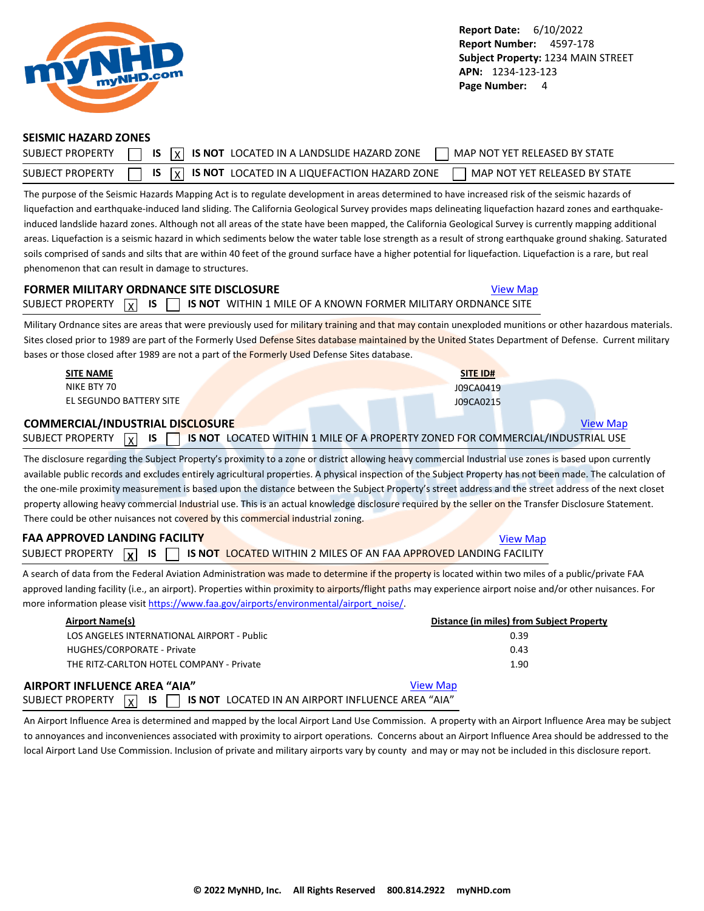<span id="page-4-0"></span>

#### **SEISMIC HAZARD ZONES**

| <b>SUBJECT PROPERTY</b> | $\overline{X}$ $\overline{X}$ is $\overline{X}$ is not located in a landslide hazard zone<br>MAP NOT YET RELEASED BY STATE |  |
|-------------------------|----------------------------------------------------------------------------------------------------------------------------|--|
| <b>SUBJECT PROPERTY</b> | $\sqrt{1}$ IS $\sqrt{X}$ IS NOT LOCATED IN A LIQUEFACTION HAZARD ZONE<br>MAP NOT YET RELEASED BY STATE                     |  |

The purpose of the Seismic Hazards Mapping Act is to regulate development in areas determined to have increased risk of the seismic hazards of liquefaction and earthquake-induced land sliding. The California Geological Survey provides maps delineating liquefaction hazard zones and earthquakeinduced landslide hazard zones. Although not all areas of the state have been mapped, the California Geological Survey is currently mapping additional areas. Liquefaction is a seismic hazard in which sediments below the water table lose strength as a result of strong earthquake ground shaking. Saturated soils comprised of sands and silts that are within 40 feet of the ground surface have a higher potential for liquefaction. Liquefaction is a rare, but real phenomenon that can result in damage to structures.

## **FORMER MILITARY ORDNANCE SITE DISCLOSURE [View Map](https://www.mynhd.com/hazardmaps/1846062/844302)** View Map SUBJECT PROPERTY  $\boxed{\chi}$  **IS**  $\boxed{\phantom{\chi}}$  **is not** within 1 mile of a known former military ordnance site

Military Ordnance sites are areas that were previously used for military training and that may contain unexploded munitions or other hazardous materials. Sites closed prior to 1989 are part of the Formerly Used Defense Sites database maintained by the United States Department of Defense. Current military bases or those closed after 1989 are not a part of the Formerly Used Defense Sites database.

| <b>SITE NAME</b>                                    | <b>SITE ID#</b>                                                                |                 |
|-----------------------------------------------------|--------------------------------------------------------------------------------|-----------------|
| NIKE BTY 70                                         | J09CA0419                                                                      |                 |
| EL SEGUNDO BATTERY SITE                             | J09CA0215                                                                      |                 |
| <b>COMMERCIAL/INDUSTRIAL DISCLOSURE</b>             |                                                                                | <b>View Map</b> |
| - IS<br>SUBJECT PROPERTY<br>$\overline{\mathbf{x}}$ | IS NOT LOCATED WITHIN 1 MILE OF A PROPERTY ZONED FOR COMMERCIAL/INDUSTRIAL USE |                 |

The disclosure regarding the Subject Property's proximity to a zone or district allowing heavy commercial Industrial use zones is based upon currently available public records and excludes entirely agricultural properties. A physical inspection of the Subject Property has not been made. The calculation of the one-mile proximity measurement is based upon the distance between the Subject Property's street address and the street address of the next closet property allowing heavy commercial Industrial use. This is an actual knowledge disclosure required by the seller on the Transfer Disclosure Statement. There could be other nuisances not covered by this commercial industrial zoning.

## **FAA APPROVED LANDING FACILITY [View Map](https://www.mynhd.com/hazardmaps/1846068/844302)** View Map SUBJECT PROPERTY **X IS TUBBEL IS NOT LOCATED WITHIN 2 MILES OF AN FAA APPROVED LANDING FACILITY**

A search of data from the Federal Aviation Administration was made to determine if the property is located within two miles of a public/private FAA approved landing facility (i.e., an airport). Properties within proximity to airports/flight paths may experience airport noise and/or other nuisances. For more information please visit [https://www.faa.gov/airports/environmental/airport\\_noise/](https://www.faa.gov/airports/environmental/airport_noise/).

| Airport Name(s)                                                                                  | Distance (in miles) from Subject Property |
|--------------------------------------------------------------------------------------------------|-------------------------------------------|
| LOS ANGELES INTERNATIONAL AIRPORT - Public                                                       | 0.39                                      |
| HUGHES/CORPORATE - Private                                                                       | 0.43                                      |
| THE RITZ-CARLTON HOTEL COMPANY - Private                                                         | 1.90                                      |
| AIRPORT INFLUENCE AREA "AIA"                                                                     | <b>View Map</b>                           |
| <b>IS</b><br><b>IS NOT LOCATED IN AN AIRPORT INFLUENCE AREA "AIA"</b><br> x <br>SUBJECT PROPERTY |                                           |

An Airport Influence Area is determined and mapped by the local Airport Land Use Commission. A property with an Airport Influence Area may be subject to annoyances and inconveniences associated with proximity to airport operations. Concerns about an Airport Influence Area should be addressed to the local Airport Land Use Commission. Inclusion of private and military airports vary by county and may or may not be included in this disclosure report.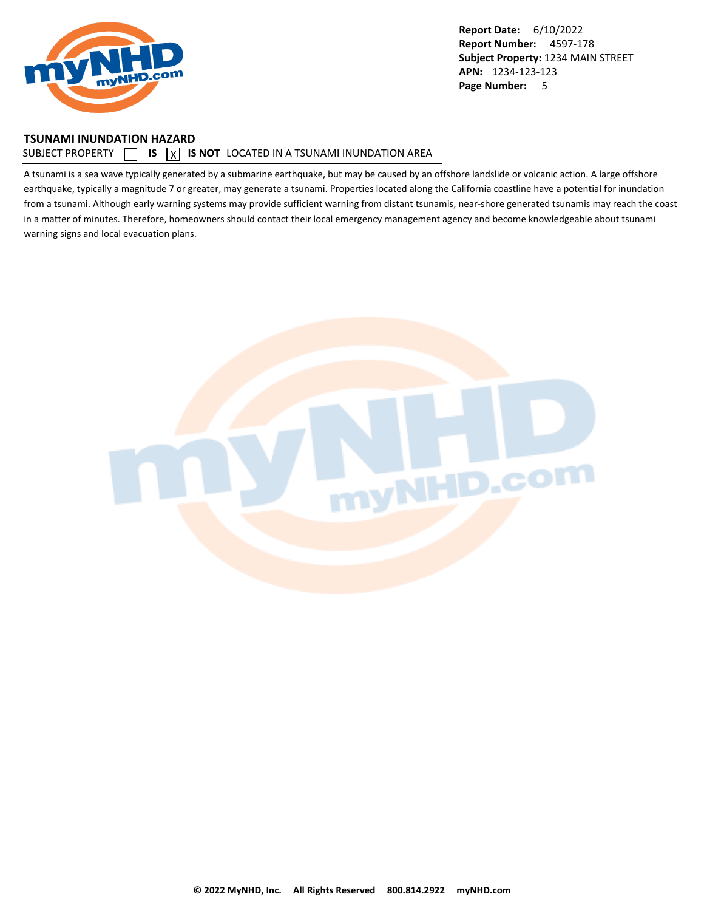<span id="page-5-0"></span>

#### **TSUNAMI INUNDATION HAZARD**

#### SUBJECT PROPERTY  $\Box$  **IS**  $\Box$  **IS NOT** LOCATED IN A TSUNAMI INUNDATION AREA

A tsunami is a sea wave typically generated by a submarine earthquake, but may be caused by an offshore landslide or volcanic action. A large offshore earthquake, typically a magnitude 7 or greater, may generate a tsunami. Properties located along the California coastline have a potential for inundation from a tsunami. Although early warning systems may provide sufficient warning from distant tsunamis, near-shore generated tsunamis may reach the coast in a matter of minutes. Therefore, homeowners should contact their local emergency management agency and become knowledgeable about tsunami warning signs and local evacuation plans.

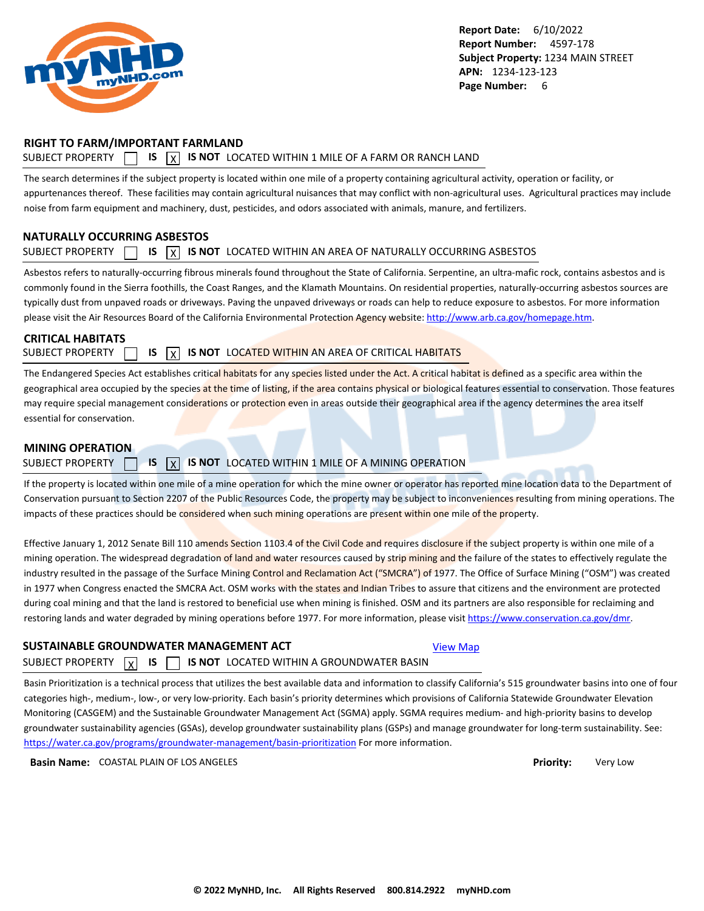<span id="page-6-0"></span>

### **RIGHT TO FARM/IMPORTANT FARMLAND**

### SUBJECT PROPERTY  $\Box$  **IS**  $\overline{X}$  **IS NOT** LOCATED WITHIN 1 MILE OF A FARM OR RANCH LAND

The search determines if the subject property is located within one mile of a property containing agricultural activity, operation or facility, or appurtenances thereof. These facilities may contain agricultural nuisances that may conflict with non-agricultural uses. Agricultural practices may include noise from farm equipment and machinery, dust, pesticides, and odors associated with animals, manure, and fertilizers.

### **NATURALLY OCCURRING ASBESTOS**

### SUBJECT PROPERTY  $\Box$  **IS**  $\overline{X}$  **IS NOT** LOCATED WITHIN AN AREA OF NATURALLY OCCURRING ASBESTOS

Asbestos refers to naturally-occurring fibrous minerals found throughout the State of California. Serpentine, an ultra-mafic rock, contains asbestos and is commonly found in the Sierra foothills, the Coast Ranges, and the Klamath Mountains. On residential properties, naturally-occurring asbestos sources are typically dust from unpaved roads or driveways. Paving the unpaved driveways or roads can help to reduce exposure to asbestos. For more information please visit the Air Resources Board of the California Environmental Protection Agency website:<http://www.arb.ca.gov/homepage.htm>.

### **CRITICAL HABITATS**

SUBJECT PROPERTY **15 IS X IS NOT** LOCATED WITHIN AN AREA OF CRITICAL HABITATS

The Endangered Species Act establishes critical habitats for any species listed under the Act. A critical habitat is defined as a specific area within the geographical area occupied by the species at the time of listing, if the area contains physical or biological features essential to conservation. Those features may require special management considerations or protection even in areas outside their geographical area if the agency determines the area itself essential for conservation.

#### **MINING OPERATION**

### SUBJECT PROPERTY **15 X IS NOT** LOCATED WITHIN 1 MILE OF A MINING OPERATION

If the property is located within one mile of a mine operation for which the mine owner or operator has reported mine location data to the Department of Conservation pursuant to Section 2207 of the Public Resources Code, the property may be subject to inconveniences resulting from mining operations. The impacts of these practices should be considered when such mining operations are present within one mile of the property.

Effective January 1, 2012 Senate Bill 110 amends Section 1103.4 of the Civil Code and requires disclosure if the subject property is within one mile of a mining operation. The widespread degradation of land and water resources caused by strip mining and the failure of the states to effectively regulate the industry resulted in the passage of the Surface Mining Control and Reclamation Act ("SMCRA") of 1977. The Office of Surface Mining ("OSM") was created in 1977 when Congress enacted the SMCRA Act. OSM works with the states and Indian Tribes to assure that citizens and the environment are protected during coal mining and that the land is restored to beneficial use when mining is finished. OSM and its partners are also responsible for reclaiming and restoring lands and water degraded by mining operations before 1977. For more information, please visit<https://www.conservation.ca.gov/dmr>.

### **SUSTAINABLE GROUNDWATER MANAGEMENT ACT**

#### SUBJECT PROPERTY  $\boxed{x}$  IS  $\boxed{y}$ **IS IS NOT** LOCATED WITHIN A GROUNDWATER BASIN

Basin Prioritization is a technical process that utilizes the best available data and information to classify California's 515 groundwater basins into one of four categories high-, medium-, low-, or very low-priority. Each basin's priority determines which provisions of California Statewide Groundwater Elevation Monitoring (CASGEM) and the Sustainable Groundwater Management Act (SGMA) apply. SGMA requires medium- and high-priority basins to develop groundwater sustainability agencies (GSAs), develop groundwater sustainability plans (GSPs) and manage groundwater for long-term sustainability. See: <https://water.ca.gov/programs/groundwater-management/basin-prioritization>For more information.

**Basin Name:** COASTAL PLAIN OF LOS ANGELES **Priority:** Very Low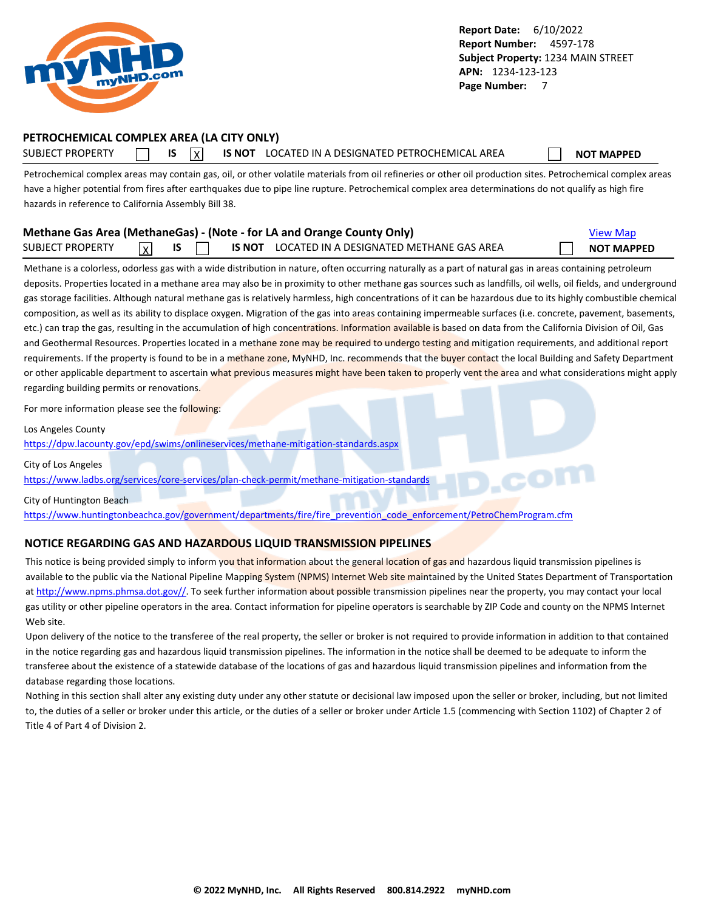<span id="page-7-0"></span>

### **PETROCHEMICAL COMPLEX AREA (LA CITY ONLY)**

SUBJECT PROPERTY **IS** IS **INOT LOCATED IN A DESIGNATED PETROCHEMICAL AREA NOT MAPPED** 

Petrochemical complex areas may contain gas, oil, or other volatile materials from oil refineries or other oil production sites. Petrochemical complex areas have a higher potential from fires after earthquakes due to pipe line rupture. Petrochemical complex area determinations do not qualify as high fire hazards in reference to California Assembly Bill 38.

| Methane Gas Area (MethaneGas) - (Note - for LA and Orange County Only) |                         |  | <b>View Map</b> |  |                                                 |  |                   |
|------------------------------------------------------------------------|-------------------------|--|-----------------|--|-------------------------------------------------|--|-------------------|
| <b>SUBJECT PROPERTY</b>                                                | $\overline{\mathsf{x}}$ |  |                 |  | IS NOT LOCATED IN A DESIGNATED METHANE GAS AREA |  | <b>NOT MAPPED</b> |

Methane is a colorless, odorless gas with a wide distribution in nature, often occurring naturally as a part of natural gas in areas containing petroleum deposits. Properties located in a methane area may also be in proximity to other methane gas sources such as landfills, oil wells, oil fields, and underground gas storage facilities. Although natural methane gas is relatively harmless, high concentrations of it can be hazardous due to its highly combustible chemical composition, as well as its ability to displace oxygen. Migration of the gas into areas containing impermeable surfaces (i.e. concrete, pavement, basements, etc.) can trap the gas, resulting in the accumulation of high concentrations. Information available is based on data from the California Division of Oil, Gas and Geothermal Resources. Properties located in a methane zone may be required to undergo testing and mitigation requirements, and additional report requirements. If the property is found to be in a methane zone, MyNHD, Inc. recommends that the buyer contact the local Building and Safety Department or other applicable department to ascertain what previous measures might have been taken to properly vent the area and what considerations might apply regarding building permits or renovations.

For more information please see the following:

Los Angeles County

<https://dpw.lacounty.gov/epd/swims/onlineservices/methane-mitigation-standards.aspx>

City of Los Angeles

<https://www.ladbs.org/services/core-services/plan-check-permit/methane-mitigation-standards>

City of Huntington Beach

[https://www.huntingtonbeachca.gov/government/departments/fire/fire\\_prevention\\_code\\_enforcement/PetroChemProgram.cfm](https://www.huntingtonbeachca.gov/government/departments/fire/fire_prevention_code_enforcement/PetroChemProgram.cfm)

### **NOTICE REGARDING GAS AND HAZARDOUS LIQUID TRANSMISSION PIPELINES**

This notice is being provided simply to inform you that information about the general location of gas and hazardous liquid transmission pipelines is available to the public via the National Pipeline Mapping System (NPMS) Internet Web site maintained by the United States Department of Transportation at [http://www.npms.phmsa.dot.gov//.](http://www.npms.phmsa.dot.gov/) To seek further information about possible transmission pipelines near the property, you may contact your local gas utility or other pipeline operators in the area. Contact information for pipeline operators is searchable by ZIP Code and county on the NPMS Internet Web site.

Upon delivery of the notice to the transferee of the real property, the seller or broker is not required to provide information in addition to that contained in the notice regarding gas and hazardous liquid transmission pipelines. The information in the notice shall be deemed to be adequate to inform the transferee about the existence of a statewide database of the locations of gas and hazardous liquid transmission pipelines and information from the database regarding those locations.

Nothing in this section shall alter any existing duty under any other statute or decisional law imposed upon the seller or broker, including, but not limited to, the duties of a seller or broker under this article, or the duties of a seller or broker under Article 1.5 (commencing with Section 1102) of Chapter 2 of Title 4 of Part 4 of Division 2.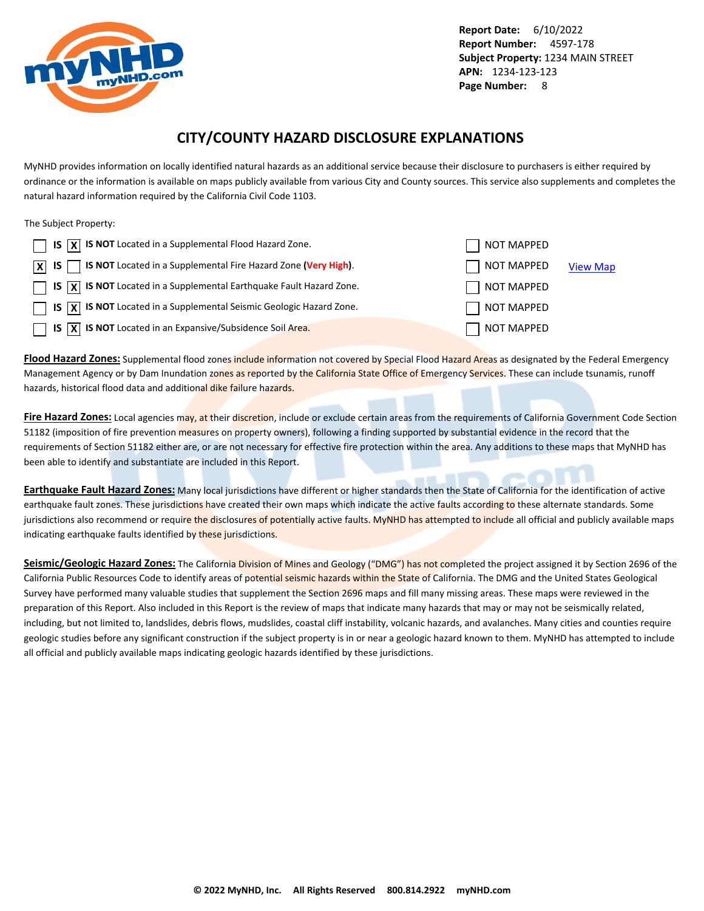<span id="page-8-0"></span>

## **CITY/COUNTY HAZARD DISCLOSURE EXPLANATIONS**

MyNHD provides information on locally identified natural hazards as an additional service because their disclosure to purchasers is either required by ordinance or the information is available on maps publicly available from various City and County sources. This service also supplements and completes the natural hazard information required by the California Civil Code 1103.

The Subject Property:

| $\Box$ IS $\overline{X}$ IS NOT Located in a Supplemental Flood Hazard Zone.                                 | NOT MAPPED        |                 |
|--------------------------------------------------------------------------------------------------------------|-------------------|-----------------|
| $\boxed{\mathsf{X}}$ IS $\boxed{\phantom{1}}$ IS NOT Located in a Supplemental Fire Hazard Zone (Very High). | NOT MAPPED        | <b>View Map</b> |
| $\Box$ IS $\overline{X}$ IS NOT Located in a Supplemental Earthquake Fault Hazard Zone.                      | NOT MAPPED        |                 |
| $\Box$ IS $\overline{X}$ IS NOT Located in a Supplemental Seismic Geologic Hazard Zone.                      | NOT MAPPED        |                 |
| $\Box$ IS $\overline{X}$ IS NOT Located in an Expansive/Subsidence Soil Area.                                | <b>NOT MAPPED</b> |                 |

**Flood Hazard Zones:** Supplemental flood zones include information not covered by Special Flood Hazard Areas as designated by the Federal Emergency Management Agency or by Dam Inundation zones as reported by the California State Office of Emergency Services. These can include tsunamis, runoff hazards, historical flood data and additional dike failure hazards.

**Fire Hazard Zones:** Local agencies may, at their discretion, include or exclude certain areas from the requirements of California Government Code Section 51182 (imposition of fire prevention measures on property owners), following a finding supported by substantial evidence in the record that the requirements of Section 51182 either are, or are not necessary for effective fire protection within the area. Any additions to these maps that MyNHD has been able to identify and substantiate are included in this Report.

**Earthquake Fault Hazard Zones:** Many local jurisdictions have different or higher standards then the State of California for the identification of active earthquake fault zones. These jurisdictions have created their own maps which indicate the active faults according to these alternate standards. Some jurisdictions also recommend or require the disclosures of potentially active faults. MyNHD has attempted to include all official and publicly available maps indicating earthquake faults identified by these jurisdictions.

Seismic/Geologic Hazard Zones: The California Division of Mines and Geology ("DMG") has not completed the project assigned it by Section 2696 of the California Public Resources Code to identify areas of potential seismic hazards within the State of California. The DMG and the United States Geological Survey have performed many valuable studies that supplement the Section 2696 maps and fill many missing areas. These maps were reviewed in the preparation of this Report. Also included in this Report is the review of maps that indicate many hazards that may or may not be seismically related, including, but not limited to, landslides, debris flows, mudslides, coastal cliff instability, volcanic hazards, and avalanches. Many cities and counties require geologic studies before any significant construction if the subject property is in or near a geologic hazard known to them. MyNHD has attempted to include all official and publicly available maps indicating geologic hazards identified by these jurisdictions.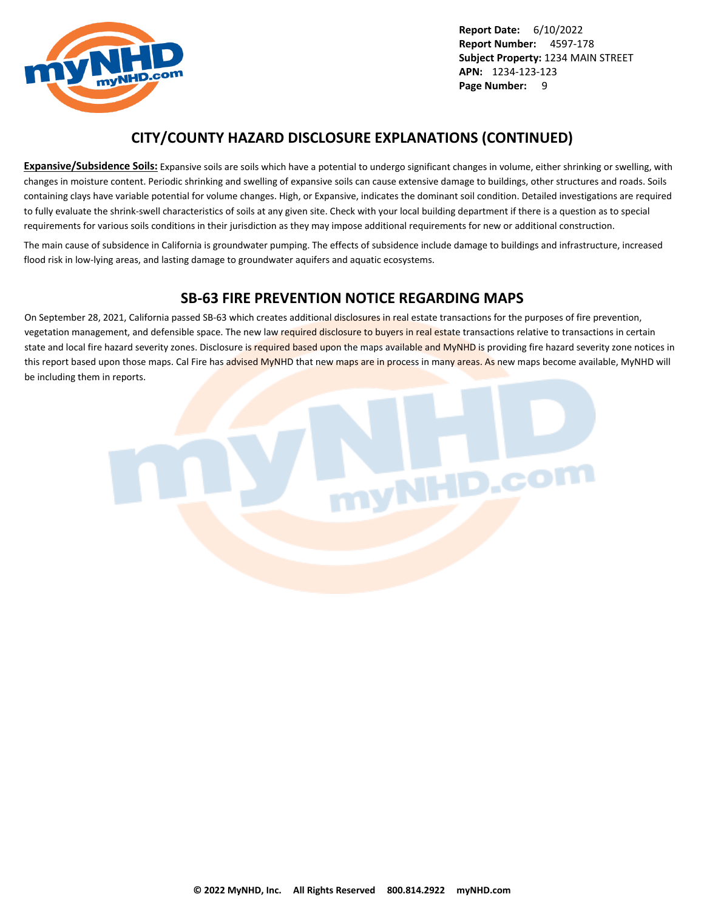

## **CITY/COUNTY HAZARD DISCLOSURE EXPLANATIONS (CONTINUED)**

**Expansive/Subsidence Soils:** Expansive soils are soils which have a potential to undergo significant changes in volume, either shrinking or swelling, with changes in moisture content. Periodic shrinking and swelling of expansive soils can cause extensive damage to buildings, other structures and roads. Soils containing clays have variable potential for volume changes. High, or Expansive, indicates the dominant soil condition. Detailed investigations are required to fully evaluate the shrink-swell characteristics of soils at any given site. Check with your local building department if there is a question as to special requirements for various soils conditions in their jurisdiction as they may impose additional requirements for new or additional construction.

The main cause of subsidence in California is groundwater pumping. The effects of subsidence include damage to buildings and infrastructure, increased flood risk in low-lying areas, and lasting damage to groundwater aquifers and aquatic ecosystems.

## **SB-63 FIRE PREVENTION NOTICE REGARDING MAPS**

On September 28, 2021, California passed SB-63 which creates additional disclosures in real estate transactions for the purposes of fire prevention, vegetation management, and defensible space. The new law required disclosure to buyers in real estate transactions relative to transactions in certain state and local fire hazard severity zones. Disclosure is required based upon the maps available and MyNHD is providing fire hazard severity zone notices in this report based upon those maps. Cal Fire has advised MyNHD that new maps are in process in many areas. As new maps become available, MyNHD will be including them in reports.

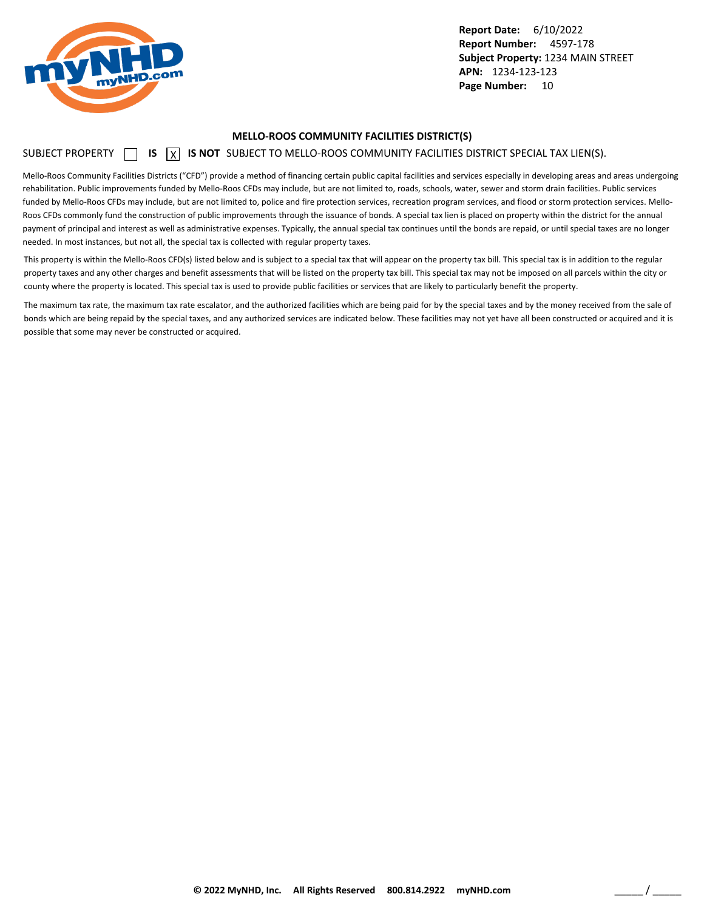<span id="page-10-0"></span>

#### **MELLO-ROOS COMMUNITY FACILITIES DISTRICT(S)**

### SUBJECT PROPERTY **15** IS **X** IS NOT SUBJECT TO MELLO-ROOS COMMUNITY FACILITIES DISTRICT SPECIAL TAX LIEN(S).

Mello-Roos Community Facilities Districts ("CFD") provide a method of financing certain public capital facilities and services especially in developing areas and areas undergoing rehabilitation. Public improvements funded by Mello-Roos CFDs may include, but are not limited to, roads, schools, water, sewer and storm drain facilities. Public services funded by Mello-Roos CFDs may include, but are not limited to, police and fire protection services, recreation program services, and flood or storm protection services. Mello-Roos CFDs commonly fund the construction of public improvements through the issuance of bonds. A special tax lien is placed on property within the district for the annual payment of principal and interest as well as administrative expenses. Typically, the annual special tax continues until the bonds are repaid, or until special taxes are no longer needed. In most instances, but not all, the special tax is collected with regular property taxes.

This property is within the Mello-Roos CFD(s) listed below and is subject to a special tax that will appear on the property tax bill. This special tax is in addition to the regular property taxes and any other charges and benefit assessments that will be listed on the property tax bill. This special tax may not be imposed on all parcels within the city or county where the property is located. This special tax is used to provide public facilities or services that are likely to particularly benefit the property.

The maximum tax rate, the maximum tax rate escalator, and the authorized facilities which are being paid for by the special taxes and by the money received from the sale of bonds which are being repaid by the special taxes, and any authorized services are indicated below. These facilities may not yet have all been constructed or acquired and it is possible that some may never be constructed or acquired.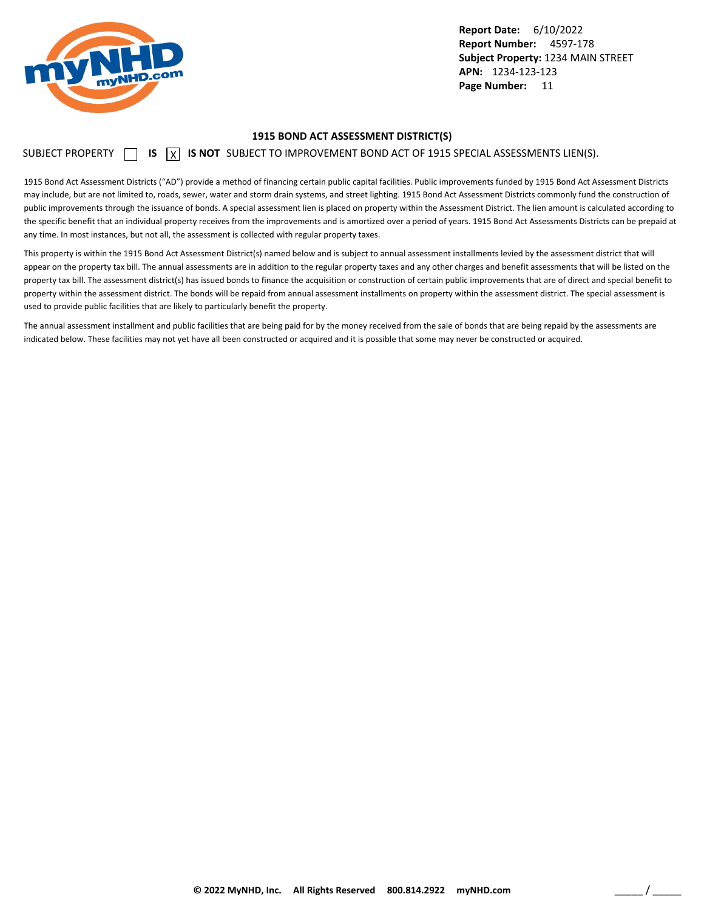<span id="page-11-0"></span>

#### **1915 BOND ACT ASSESSMENT DISTRICT(S)**

SUBJECT PROPERTY  $\Box$  **IS**  $\Box$  **IS NOT** SUBJECT TO IMPROVEMENT BOND ACT OF 1915 SPECIAL ASSESSMENTS LIEN(S).

1915 Bond Act Assessment Districts ("AD") provide a method of financing certain public capital facilities. Public improvements funded by 1915 Bond Act Assessment Districts may include, but are not limited to, roads, sewer, water and storm drain systems, and street lighting. 1915 Bond Act Assessment Districts commonly fund the construction of public improvements through the issuance of bonds. A special assessment lien is placed on property within the Assessment District. The lien amount is calculated according to the specific benefit that an individual property receives from the improvements and is amortized over a period of years. 1915 Bond Act Assessments Districts can be prepaid at any time. In most instances, but not all, the assessment is collected with regular property taxes.

This property is within the 1915 Bond Act Assessment District(s) named below and is subject to annual assessment installments levied by the assessment district that will appear on the property tax bill. The annual assessments are in addition to the regular property taxes and any other charges and benefit assessments that will be listed on the property tax bill. The assessment district(s) has issued bonds to finance the acquisition or construction of certain public improvements that are of direct and special benefit to property within the assessment district. The bonds will be repaid from annual assessment installments on property within the assessment district. The special assessment is used to provide public facilities that are likely to particularly benefit the property.

The annual assessment installment and public facilities that are being paid for by the money received from the sale of bonds that are being repaid by the assessments are indicated below. These facilities may not yet have all been constructed or acquired and it is possible that some may never be constructed or acquired.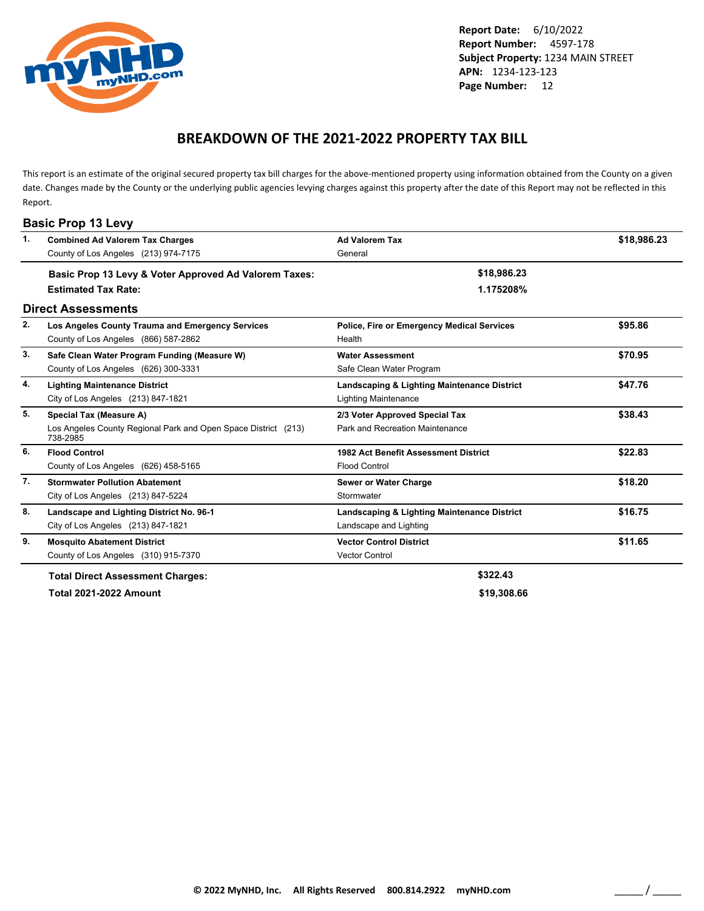<span id="page-12-0"></span>

## **BREAKDOWN OF THE 2021-2022 PROPERTY TAX BILL**

This report is an estimate of the original secured property tax bill charges for the above-mentioned property using information obtained from the County on a given date. Changes made by the County or the underlying public agencies levying charges against this property after the date of this Report may not be reflected in this Report.

| $\mathbf{1}$ . | <b>Combined Ad Valorem Tax Charges</b>                                     | <b>Ad Valorem Tax</b>                             | \$18,986.23 |
|----------------|----------------------------------------------------------------------------|---------------------------------------------------|-------------|
|                | County of Los Angeles (213) 974-7175                                       | General                                           |             |
|                | Basic Prop 13 Levy & Voter Approved Ad Valorem Taxes:                      | \$18,986.23                                       |             |
|                | <b>Estimated Tax Rate:</b>                                                 | 1.175208%                                         |             |
|                | <b>Direct Assessments</b>                                                  |                                                   |             |
| 2.             | Los Angeles County Trauma and Emergency Services                           | <b>Police, Fire or Emergency Medical Services</b> | \$95.86     |
|                | County of Los Angeles (866) 587-2862                                       | Health                                            |             |
| 3.             | Safe Clean Water Program Funding (Measure W)                               | <b>Water Assessment</b>                           | \$70.95     |
|                | County of Los Angeles (626) 300-3331                                       | Safe Clean Water Program                          |             |
| 4.             | <b>Lighting Maintenance District</b>                                       | Landscaping & Lighting Maintenance District       | \$47.76     |
|                | City of Los Angeles (213) 847-1821                                         | <b>Lighting Maintenance</b>                       |             |
| 5.             | Special Tax (Measure A)                                                    | 2/3 Voter Approved Special Tax                    | \$38.43     |
|                | Los Angeles County Regional Park and Open Space District (213)<br>738-2985 | Park and Recreation Maintenance                   |             |
| 6.             | <b>Flood Control</b>                                                       | 1982 Act Benefit Assessment District              | \$22.83     |
|                | County of Los Angeles (626) 458-5165                                       | <b>Flood Control</b>                              |             |
| 7.             | <b>Stormwater Pollution Abatement</b>                                      | <b>Sewer or Water Charge</b>                      | \$18.20     |
|                | City of Los Angeles (213) 847-5224                                         | Stormwater                                        |             |
| 8.             | Landscape and Lighting District No. 96-1                                   | Landscaping & Lighting Maintenance District       | \$16.75     |
|                | City of Los Angeles (213) 847-1821                                         | Landscape and Lighting                            |             |
| 9.             | <b>Mosquito Abatement District</b>                                         | <b>Vector Control District</b>                    | \$11.65     |
|                | County of Los Angeles (310) 915-7370                                       | <b>Vector Control</b>                             |             |
|                | <b>Total Direct Assessment Charges:</b>                                    | \$322.43                                          |             |
|                | <b>Total 2021-2022 Amount</b>                                              | \$19,308.66                                       |             |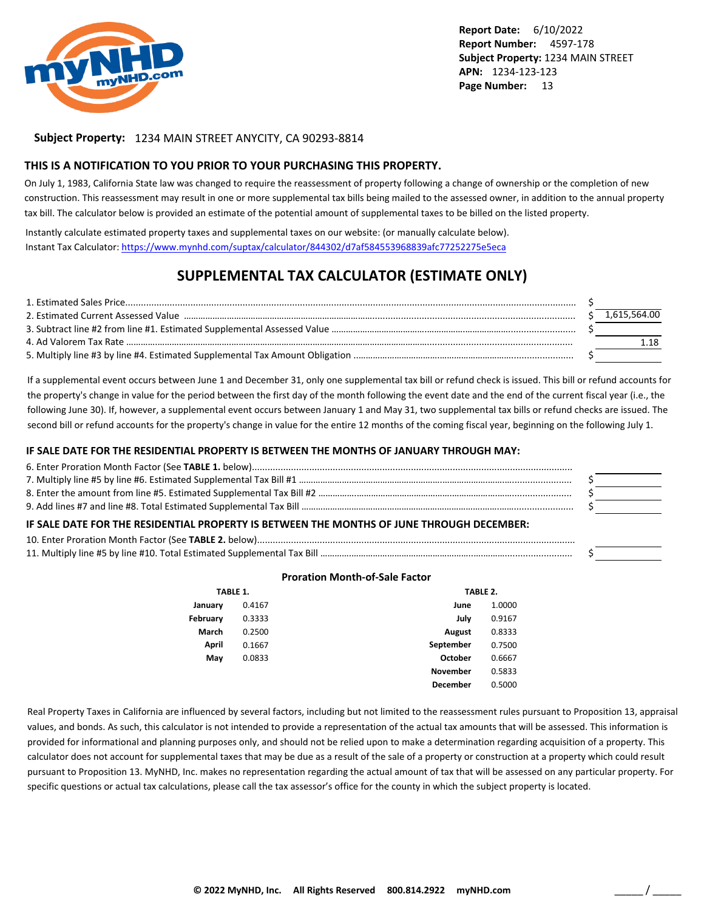

#### **Subject Property:** 1234 MAIN STREET ANYCITY, CA 90293-8814

#### **THIS IS A NOTIFICATION TO YOU PRIOR TO YOUR PURCHASING THIS PROPERTY.**

On July 1, 1983, California State law was changed to require the reassessment of property following a change of ownership or the completion of new construction. This reassessment may result in one or more supplemental tax bills being mailed to the assessed owner, in addition to the annual property tax bill. The calculator below is provided an estimate of the potential amount of supplemental taxes to be billed on the listed property.

Instantly calculate estimated property taxes and supplemental taxes on our website: (or manually calculate below). Instant Tax Calculator: <https://www.mynhd.com/suptax/calculator/844302/d7af584553968839afc77252275e5eca>

## **SUPPLEMENTAL TAX CALCULATOR (ESTIMATE ONLY)**

|  | 1,615,564.00 |
|--|--------------|
|  |              |
|  |              |
|  |              |

If a supplemental event occurs between June 1 and December 31, only one supplemental tax bill or refund check is issued. This bill or refund accounts for the property's change in value for the period between the first day of the month following the event date and the end of the current fiscal year (i.e., the following June 30). If, however, a supplemental event occurs between January 1 and May 31, two supplemental tax bills or refund checks are issued. The second bill or refund accounts for the property's change in value for the entire 12 months of the coming fiscal year, beginning on the following July 1.

#### **IF SALE DATE FOR THE RESIDENTIAL PROPERTY IS BETWEEN THE MONTHS OF JANUARY THROUGH MAY:**

| IF SALE DATE FOR THE RESIDENTIAL PROPERTY IS BETWEEN THE MONTHS OF JUNE THROUGH DECEMBER: |  |  |
|-------------------------------------------------------------------------------------------|--|--|
|                                                                                           |  |  |
|                                                                                           |  |  |

#### **Proration Month-of-Sale Factor**

| TABLE 1. |        |                 | TABLE 2. |  |
|----------|--------|-----------------|----------|--|
| January  | 0.4167 | June            | 1.0000   |  |
| February | 0.3333 | July            | 0.9167   |  |
| March    | 0.2500 | <b>August</b>   | 0.8333   |  |
| April    | 0.1667 | September       | 0.7500   |  |
| May      | 0.0833 | October         | 0.6667   |  |
|          |        | <b>November</b> | 0.5833   |  |
|          |        | December        | 0.5000   |  |

Real Property Taxes in California are influenced by several factors, including but not limited to the reassessment rules pursuant to Proposition 13, appraisal values, and bonds. As such, this calculator is not intended to provide a representation of the actual tax amounts that will be assessed. This information is provided for informational and planning purposes only, and should not be relied upon to make a determination regarding acquisition of a property. This calculator does not account for supplemental taxes that may be due as a result of the sale of a property or construction at a property which could result pursuant to Proposition 13. MyNHD, Inc. makes no representation regarding the actual amount of tax that will be assessed on any particular property. For specific questions or actual tax calculations, please call the tax assessor's office for the county in which the subject property is located.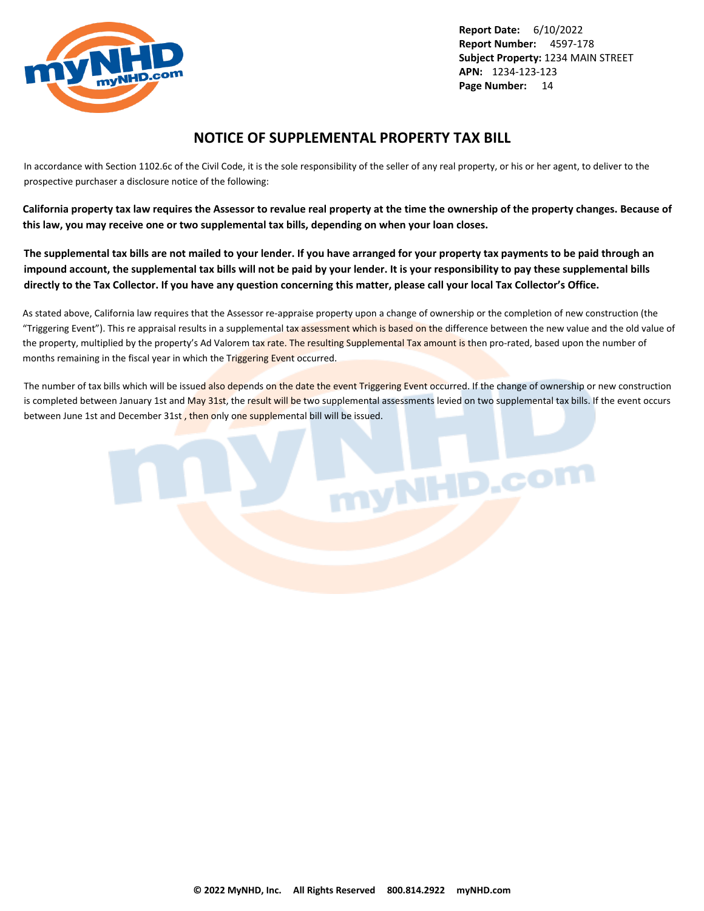<span id="page-14-0"></span>

## **NOTICE OF SUPPLEMENTAL PROPERTY TAX BILL**

In accordance with Section 1102.6c of the Civil Code, it is the sole responsibility of the seller of any real property, or his or her agent, to deliver to the prospective purchaser a disclosure notice of the following:

**California property tax law requires the Assessor to revalue real property at the time the ownership of the property changes. Because of this law, you may receive one or two supplemental tax bills, depending on when your loan closes.**

**The supplemental tax bills are not mailed to your lender. If you have arranged for your property tax payments to be paid through an impound account, the supplemental tax bills will not be paid by your lender. It is your responsibility to pay these supplemental bills directly to the Tax Collector. If you have any question concerning this matter, please call your local Tax Collector's Office.**

As stated above, California law requires that the Assessor re-appraise property upon a change of ownership or the completion of new construction (the "Triggering Event"). This re appraisal results in a supplemental tax assessment which is based on the difference between the new value and the old value of the property, multiplied by the property's Ad Valorem tax rate. The resulting Supplemental Tax amount is then pro-rated, based upon the number of months remaining in the fiscal year in which the Triggering Event occurred.

The number of tax bills which will be issued also depends on the date the event Triggering Event occurred. If the change of ownership or new construction is completed between January 1st and May 31st, the result will be two supplemental assessments levied on two supplemental tax bills. If the event occurs between June 1st and December 31st, then only one supplemental bill will be issued.

nyNHD.com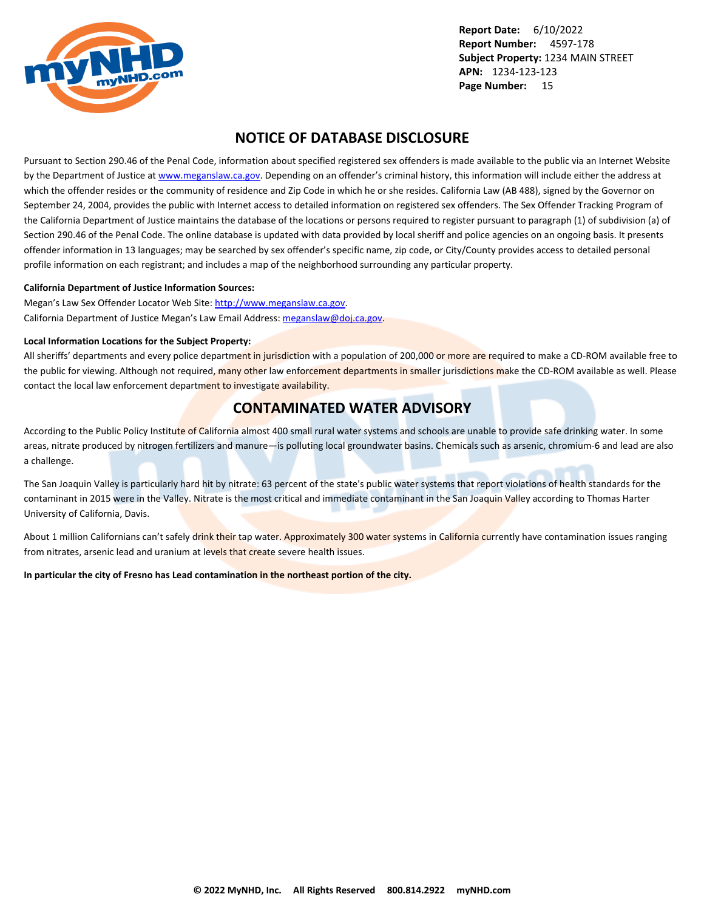<span id="page-15-0"></span>

## **NOTICE OF DATABASE DISCLOSURE**

Pursuant to Section 290.46 of the Penal Code, information about specified registered sex offenders is made available to the public via an Internet Website by the Department of Justice at <www.meganslaw.ca.gov>. Depending on an offender's criminal history, this information will include either the address at which the offender resides or the community of residence and Zip Code in which he or she resides. California Law (AB 488), signed by the Governor on September 24, 2004, provides the public with Internet access to detailed information on registered sex offenders. The Sex Offender Tracking Program of the California Department of Justice maintains the database of the locations or persons required to register pursuant to paragraph (1) of subdivision (a) of Section 290.46 of the Penal Code. The online database is updated with data provided by local sheriff and police agencies on an ongoing basis. It presents offender information in 13 languages; may be searched by sex offender's specific name, zip code, or City/County provides access to detailed personal profile information on each registrant; and includes a map of the neighborhood surrounding any particular property.

#### **California Department of Justice Information Sources:**

Megan's Law Sex Offender Locator Web Site: <http://www.meganslaw.ca.gov>. California Department of Justice Megan's Law Email Address: [meganslaw@doj.ca.gov](mailto:meganslaw@doj.ca.gov).

#### **Local Information Locations for the Subject Property:**

All sheriffs' departments and every police department in jurisdiction with a population of 200,000 or more are required to make a CD-ROM available free to the public for viewing. Although not required, many other law enforcement departments in smaller jurisdictions make the CD-ROM available as well. Please contact the local law enforcement department to investigate availability.

## **CONTAMINATED WATER ADVISORY**

According to the Public Policy Institute of California almost 400 small rural water systems and schools are unable to provide safe drinking water. In some areas, nitrate produced by nitrogen fertilizers and manure—is polluting local groundwater basins. Chemicals such as arsenic, chromium-6 and lead are also a challenge.

The San Joaquin Valley is particularly hard hit by nitrate: 63 percent of the state's public water systems that report violations of health standards for the contaminant in 2015 were in the Valley. Nitrate is the most critical and immediate contaminant in the San Joaquin Valley according to Thomas Harter University of California, Davis.

About 1 million Californians can't safely drink their tap water. Approximately 300 water systems in California currently have contamination issues ranging from nitrates, arsenic lead and uranium at levels that create severe health issues.

**In particular the city of Fresno has Lead contamination in the northeast portion of the city.**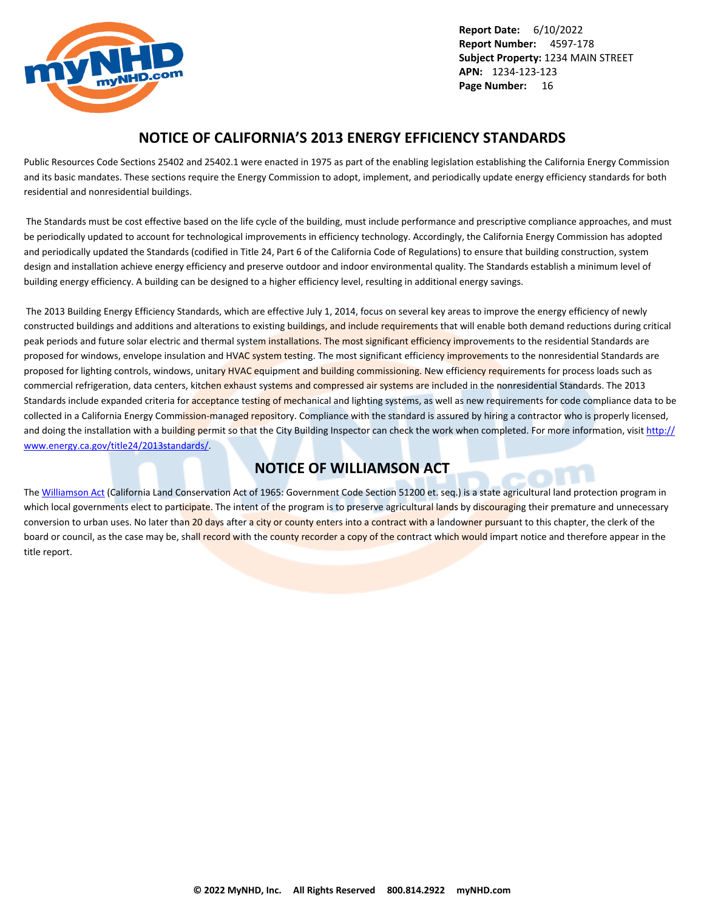<span id="page-16-0"></span>

## **NOTICE OF CALIFORNIA'S 2013 ENERGY EFFICIENCY STANDARDS**

Public Resources Code Sections 25402 and 25402.1 were enacted in 1975 as part of the enabling legislation establishing the California Energy Commission and its basic mandates. These sections require the Energy Commission to adopt, implement, and periodically update energy efficiency standards for both residential and nonresidential buildings.

 The Standards must be cost effective based on the life cycle of the building, must include performance and prescriptive compliance approaches, and must be periodically updated to account for technological improvements in efficiency technology. Accordingly, the California Energy Commission has adopted and periodically updated the Standards (codified in Title 24, Part 6 of the California Code of Regulations) to ensure that building construction, system design and installation achieve energy efficiency and preserve outdoor and indoor environmental quality. The Standards establish a minimum level of building energy efficiency. A building can be designed to a higher efficiency level, resulting in additional energy savings.

 The 2013 Building Energy Efficiency Standards, which are effective July 1, 2014, focus on several key areas to improve the energy efficiency of newly constructed buildings and additions and alterations to existing buildings, and include requirements that will enable both demand reductions during critical peak periods and future solar electric and thermal system installations. The most significant efficiency improvements to the residential Standards are proposed for windows, envelope insulation and HVAC system testing. The most significant efficiency improvements to the nonresidential Standards are proposed for lighting controls, windows, unitary HVAC equipment and building commissioning. New efficiency requirements for process loads such as commercial refrigeration, data centers, kitchen exhaust systems and compressed air systems are included in the nonresidential Standards. The 2013 Standards include expanded criteria for acceptance testing of mechanical and lighting systems, as well as new requirements for code compliance data to be collected in a California Energy Commission-managed repository. Compliance with the standard is assured by hiring a contractor who is properly licensed, and doing the installation with a building permit so that the City Building Inspector can check the work when completed. For more information, visit [http://](http://www.energy.ca.gov/title24/2013standards/) [www.energy.ca.gov/title24/2013standards/](http://www.energy.ca.gov/title24/2013standards/).

## **NOTICE OF WILLIAMSON ACT**

The [Williamson Act](http://www.conservation.ca.gov/dlrp/lca) (California Land Conservation Act of 1965: Government Code Section 51200 et. seq.) is a state agricultural land protection program in which local governments elect to participate. The intent of the program is to preserve agricultural lands by discouraging their premature and unnecessary conversion to urban uses. No later than 20 days after a city or county enters into a contract with a landowner pursuant to this chapter, the clerk of the board or council, as the case may be, shall record with the county recorder a copy of the contract which would impart notice and therefore appear in the title report.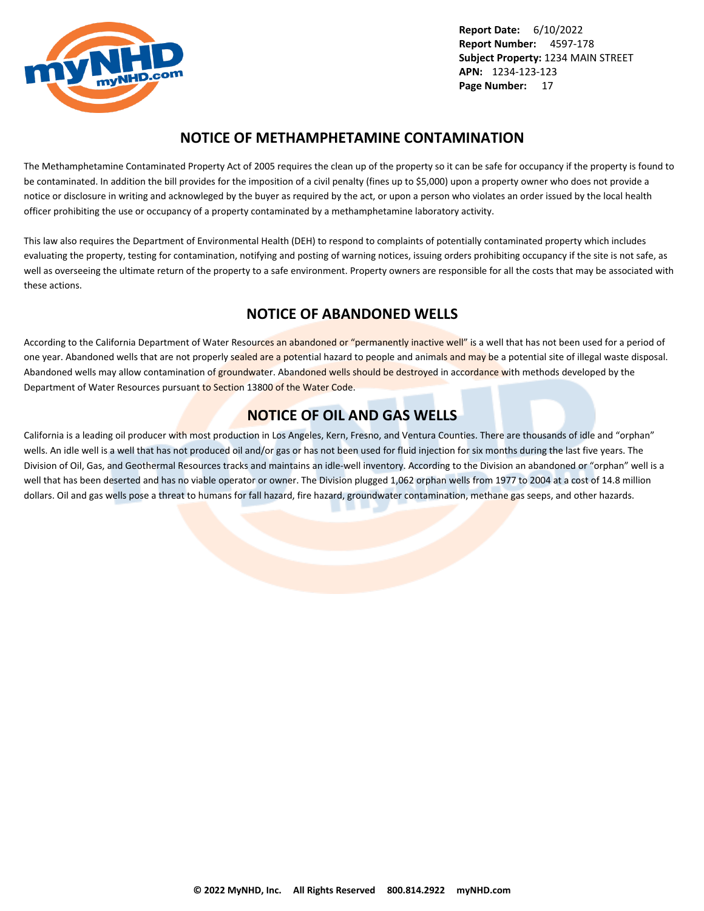<span id="page-17-0"></span>

## **NOTICE OF METHAMPHETAMINE CONTAMINATION**

The Methamphetamine Contaminated Property Act of 2005 requires the clean up of the property so it can be safe for occupancy if the property is found to be contaminated. In addition the bill provides for the imposition of a civil penalty (fines up to \$5,000) upon a property owner who does not provide a notice or disclosure in writing and acknowleged by the buyer as required by the act, or upon a person who violates an order issued by the local health officer prohibiting the use or occupancy of a property contaminated by a methamphetamine laboratory activity.

This law also requires the Department of Environmental Health (DEH) to respond to complaints of potentially contaminated property which includes evaluating the property, testing for contamination, notifying and posting of warning notices, issuing orders prohibiting occupancy if the site is not safe, as well as overseeing the ultimate return of the property to a safe environment. Property owners are responsible for all the costs that may be associated with these actions.

## **NOTICE OF ABANDONED WELLS**

According to the California Department of Water Resources an abandoned or "permanently inactive well" is a well that has not been used for a period of one year. Abandoned wells that are not properly sealed are a potential hazard to people and animals and may be a potential site of illegal waste disposal. Abandoned wells may allow contamination of groundwater. Abandoned wells should be destroyed in accordance with methods developed by the Department of Water Resources pursuant to Section 13800 of the Water Code.

## **NOTICE OF OIL AND GAS WELLS**

California is a leading oil producer with most production in Los Angeles, Kern, Fresno, and Ventura Counties. There are thousands of idle and "orphan" wells. An idle well is a well that has not produced oil and/or gas or has not been used for fluid injection for six months during the last five years. The Division of Oil, Gas, and Geothermal Resources tracks and maintains an idle-well inventory. According to the Division an abandoned or "orphan" well is a well that has been deserted and has no viable operator or owner. The Division plugged 1,062 orphan wells from 1977 to 2004 at a cost of 14.8 million dollars. Oil and gas wells pose a threat to humans for fall hazard, fire hazard, groundwater contamination, methane gas seeps, and other hazards.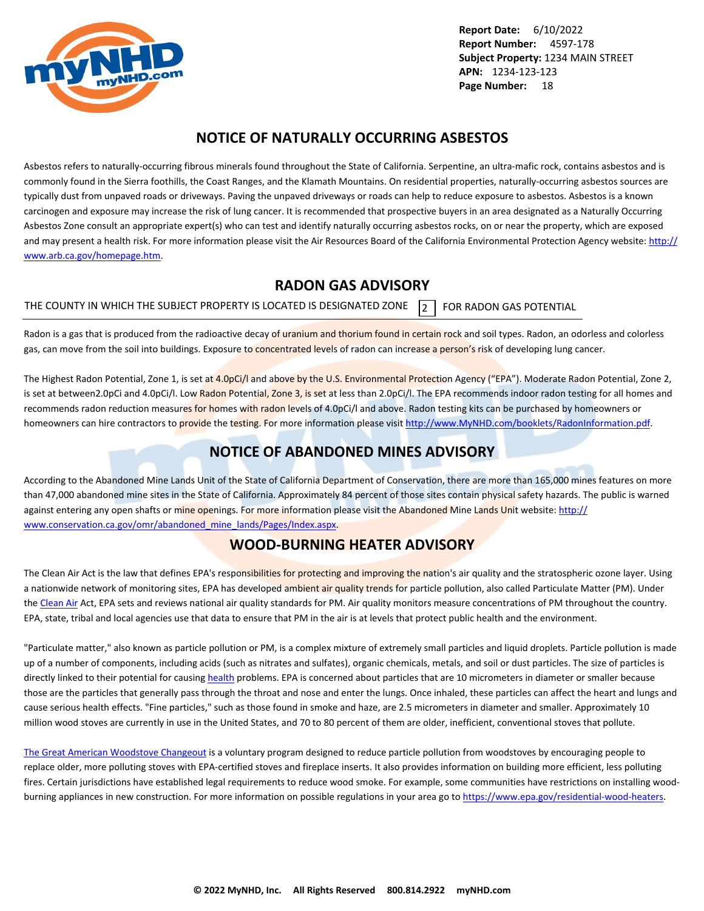<span id="page-18-0"></span>

## **NOTICE OF NATURALLY OCCURRING ASBESTOS**

Asbestos refers to naturally-occurring fibrous minerals found throughout the State of California. Serpentine, an ultra-mafic rock, contains asbestos and is commonly found in the Sierra foothills, the Coast Ranges, and the Klamath Mountains. On residential properties, naturally-occurring asbestos sources are typically dust from unpaved roads or driveways. Paving the unpaved driveways or roads can help to reduce exposure to asbestos. Asbestos is a known carcinogen and exposure may increase the risk of lung cancer. It is recommended that prospective buyers in an area designated as a Naturally Occurring Asbestos Zone consult an appropriate expert(s) who can test and identify naturally occurring asbestos rocks, on or near the property, which are exposed and may present a health risk. For more information please visit the Air Resources Board of the California Environmental Protection Agency website: [http://](http://www.arb.ca.gov/homepage.htm) [www.arb.ca.gov/homepage.htm](http://www.arb.ca.gov/homepage.htm).

## **RADON GAS ADVISORY**

THE COUNTY IN WHICH THE SUBJECT PROPERTY IS LOCATED IS DESIGNATED ZONE  $\overline{2}$  FOR RADON GAS POTENTIAL

Radon is a gas that is produced from the radioactive decay of uranium and thorium found in certain rock and soil types. Radon, an odorless and colorless gas, can move from the soil into buildings. Exposure to concentrated levels of radon can increase a person's risk of developing lung cancer.

The Highest Radon Potential, Zone 1, is set at 4.0pCi/l and above by the U.S. Environmental Protection Agency ("EPA"). Moderate Radon Potential, Zone 2, is set at between2.0pCi and 4.0pCi/l. Low Radon Potential, Zone 3, is set at less than 2.0pCi/l. The EPA recommends indoor radon testing for all homes and recommends radon reduction measures for homes with radon levels of 4.0pCi/l and above. Radon testing kits can be purchased by homeowners or homeowners can hire contractors to provide the testing. For more information please visit <http://www.MyNHD.com/booklets/RadonInformation.pdf>.

## **NOTICE OF ABANDONED MINES ADVISORY**

According to the Abandoned Mine Lands Unit of the State of California Department of Conservation, there are more than 165,000 mines features on more than 47,000 abandoned mine sites in the State of California. Approximately 84 percent of those sites contain physical safety hazards. The public is warned against entering any open shafts or mine openings. For more information please visit the Abandoned Mine Lands Unit website: [http://](http://www.conservation.ca.gov/omr/abandoned_mine_lands/Pages/Index.aspx) [www.conservation.ca.gov/omr/abandoned\\_mine\\_lands/Pages/Index.aspx](http://www.conservation.ca.gov/omr/abandoned_mine_lands/Pages/Index.aspx).

## **WOOD-BURNING HEATER ADVISORY**

The Clean Air Act is the law that defines EPA's responsibilities for protecting and improving the nation's air quality and the stratospheric ozone layer. Using a nationwide network of monitoring sites, EPA has developed ambient air quality trends for particle pollution, also called Particulate Matter (PM). Under the [Clean Air](http://www.epa.gov/airtrends/pm.html) Act, EPA sets and reviews national air quality standards for PM. Air quality monitors measure concentrations of PM throughout the country. EPA, state, tribal and local agencies use that data to ensure that PM in the air is at levels that protect public health and the environment.

"Particulate matter," also known as particle pollution or PM, is a complex mixture of extremely small particles and liquid droplets. Particle pollution is made up of a number of components, including acids (such as nitrates and sulfates), organic chemicals, metals, and soil or dust particles. The size of particles is directly linked to their potential for causing [health](http://www.epa.gov/pm/) problems. EPA is concerned about particles that are 10 micrometers in diameter or smaller because those are the particles that generally pass through the throat and nose and enter the lungs. Once inhaled, these particles can affect the heart and lungs and cause serious health effects. "Fine particles," such as those found in smoke and haze, are 2.5 micrometers in diameter and smaller. Approximately 10 million wood stoves are currently in use in the United States, and 70 to 80 percent of them are older, inefficient, conventional stoves that pollute.

[The Great American Woodstove Changeout](https://archive.epa.gov/bns/web/pdf/woodstovebrochure1_08.pdf) is a voluntary program designed to reduce particle pollution from woodstoves by encouraging people to replace older, more polluting stoves with EPA-certified stoves and fireplace inserts. It also provides information on building more efficient, less polluting fires. Certain jurisdictions have established legal requirements to reduce wood smoke. For example, some communities have restrictions on installing woodburning appliances in new construction. For more information on possible regulations in your area go to<https://www.epa.gov/residential-wood-heaters>.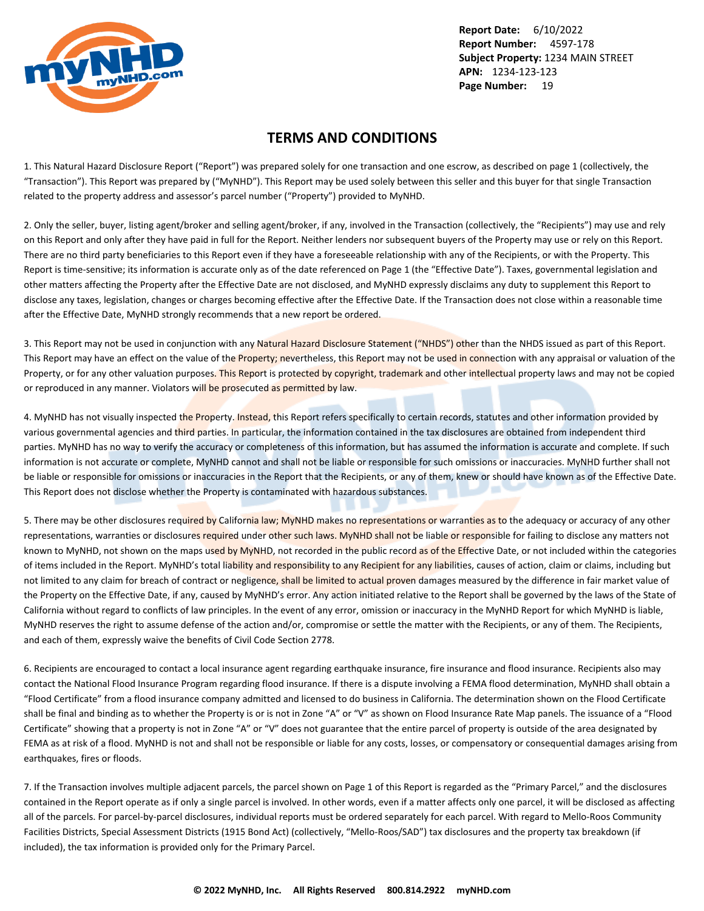<span id="page-19-0"></span>

## **TERMS AND CONDITIONS**

1. This Natural Hazard Disclosure Report ("Report") was prepared solely for one transaction and one escrow, as described on page 1 (collectively, the "Transaction"). This Report was prepared by ("MyNHD"). This Report may be used solely between this seller and this buyer for that single Transaction related to the property address and assessor's parcel number ("Property") provided to MyNHD.

2. Only the seller, buyer, listing agent/broker and selling agent/broker, if any, involved in the Transaction (collectively, the "Recipients") may use and rely on this Report and only after they have paid in full for the Report. Neither lenders nor subsequent buyers of the Property may use or rely on this Report. There are no third party beneficiaries to this Report even if they have a foreseeable relationship with any of the Recipients, or with the Property. This Report is time-sensitive; its information is accurate only as of the date referenced on Page 1 (the "Effective Date"). Taxes, governmental legislation and other matters affecting the Property after the Effective Date are not disclosed, and MyNHD expressly disclaims any duty to supplement this Report to disclose any taxes, legislation, changes or charges becoming effective after the Effective Date. If the Transaction does not close within a reasonable time after the Effective Date, MyNHD strongly recommends that a new report be ordered.

3. This Report may not be used in conjunction with any Natural Hazard Disclosure Statement ("NHDS") other than the NHDS issued as part of this Report. This Report may have an effect on the value of the Property; nevertheless, this Report may not be used in connection with any appraisal or valuation of the Property, or for any other valuation purposes. This Report is protected by copyright, trademark and other intellectual property laws and may not be copied or reproduced in any manner. Violators will be prosecuted as permitted by law.

4. MyNHD has not visually inspected the Property. Instead, this Report refers specifically to certain records, statutes and other information provided by various governmental agencies and third parties. In particular, the information contained in the tax disclosures are obtained from independent third parties. MyNHD has no way to verify the accuracy or completeness of this information, but has assumed the information is accurate and complete. If such information is not accurate or complete, MyNHD cannot and shall not be liable or responsible for such omissions or inaccuracies. MyNHD further shall not be liable or responsible for omissions or inaccuracies in the Report that the Recipients, or any of them, knew or should have known as of the Effective Date. This Report does not disclose whether the Property is contaminated with hazardous substances.

5. There may be other disclosures required by California law; MyNHD makes no representations or warranties as to the adequacy or accuracy of any other representations, warranties or disclosures required under other such laws. MyNHD shall not be liable or responsible for failing to disclose any matters not known to MyNHD, not shown on the maps used by MyNHD, not recorded in the public record as of the Effective Date, or not included within the categories of items included in the Report. MyNHD's total liability and responsibility to any Recipient for any liabilities, causes of action, claim or claims, including but not limited to any claim for breach of contract or negligence, shall be limited to actual proven damages measured by the difference in fair market value of the Property on the Effective Date, if any, caused by MyNHD's error. Any action initiated relative to the Report shall be governed by the laws of the State of California without regard to conflicts of law principles. In the event of any error, omission or inaccuracy in the MyNHD Report for which MyNHD is liable, MyNHD reserves the right to assume defense of the action and/or, compromise or settle the matter with the Recipients, or any of them. The Recipients, and each of them, expressly waive the benefits of Civil Code Section 2778.

6. Recipients are encouraged to contact a local insurance agent regarding earthquake insurance, fire insurance and flood insurance. Recipients also may contact the National Flood Insurance Program regarding flood insurance. If there is a dispute involving a FEMA flood determination, MyNHD shall obtain a "Flood Certificate" from a flood insurance company admitted and licensed to do business in California. The determination shown on the Flood Certificate shall be final and binding as to whether the Property is or is not in Zone "A" or "V" as shown on Flood Insurance Rate Map panels. The issuance of a "Flood Certificate" showing that a property is not in Zone "A" or "V" does not guarantee that the entire parcel of property is outside of the area designated by FEMA as at risk of a flood. MyNHD is not and shall not be responsible or liable for any costs, losses, or compensatory or consequential damages arising from earthquakes, fires or floods.

7. If the Transaction involves multiple adjacent parcels, the parcel shown on Page 1 of this Report is regarded as the "Primary Parcel," and the disclosures contained in the Report operate as if only a single parcel is involved. In other words, even if a matter affects only one parcel, it will be disclosed as affecting all of the parcels. For parcel-by-parcel disclosures, individual reports must be ordered separately for each parcel. With regard to Mello-Roos Community Facilities Districts, Special Assessment Districts (1915 Bond Act) (collectively, "Mello-Roos/SAD") tax disclosures and the property tax breakdown (if included), the tax information is provided only for the Primary Parcel.